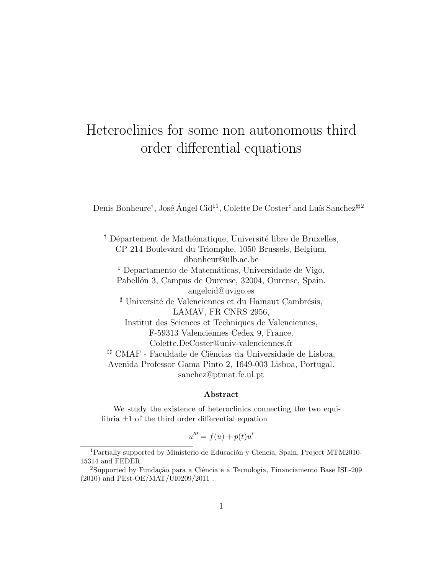# Heteroclinics for some non autonomous third order differential equations

Denis Bonheure<sup>†</sup>, José Ángel Cid<sup>‡1</sup>, Colette De Coster<sup>‡</sup> and Luís Sanchez<sup>##2</sup>

<sup> $\dagger$ </sup> Département de Mathématique, Université libre de Bruxelles, CP 214 Boulevard du Triomphe, 1050 Brussels, Belgium. dbonheur@ulb.ac.be <sup>‡</sup> Departamento de Matemáticas, Universidade de Vigo, Pabellón 3, Campus de Ourense, 32004, Ourense, Spain. angelcid@uvigo.es <sup>#</sup> Université de Valenciennes et du Hainaut Cambrésis, LAMAV, FR CNRS 2956, Institut des Sciences et Techniques de Valenciennes, F-59313 Valenciennes Cedex 9, France. Colette.DeCoster@univ-valenciennes.fr # CMAF - Faculdade de Ciências da Universidade de Lisboa, Avenida Professor Gama Pinto 2, 1649-003 Lisboa, Portugal. sanchez@ptmat.fc.ul.pt

#### Abstract

We study the existence of heteroclinics connecting the two equilibria  $\pm 1$  of the third order differential equation

$$
u''' = f(u) + p(t)u'
$$

 $1$ Partially supported by Ministerio de Educación y Ciencia, Spain, Project MTM2010-15314 and FEDER.

<sup>&</sup>lt;sup>2</sup>Supported by Fundação para a Ciência e a Tecnologia, Financiamento Base ISL-209  $(2010)$  and PEst-OE/MAT/UI0209/2011.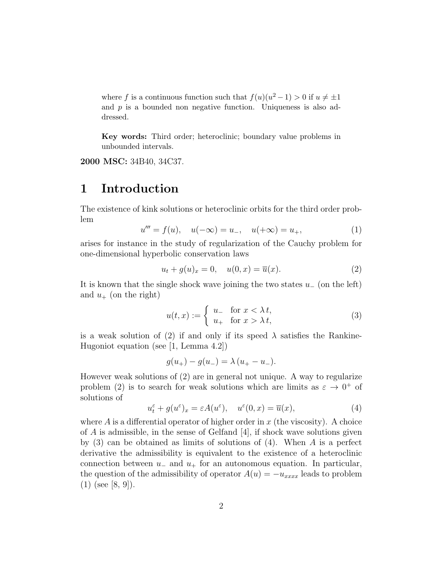where f is a continuous function such that  $f(u)(u^2 - 1) > 0$  if  $u \neq \pm 1$ and  $p$  is a bounded non negative function. Uniqueness is also addressed.

Key words: Third order; heteroclinic; boundary value problems in unbounded intervals.

2000 MSC: 34B40, 34C37.

## 1 Introduction

The existence of kink solutions or heteroclinic orbits for the third order problem

$$
u''' = f(u), \quad u(-\infty) = u_-, \quad u(+\infty) = u_+, \tag{1}
$$

arises for instance in the study of regularization of the Cauchy problem for one-dimensional hyperbolic conservation laws

$$
u_t + g(u)_x = 0, \quad u(0, x) = \overline{u}(x).
$$
 (2)

It is known that the single shock wave joining the two states  $u_-\$  (on the left) and  $u_+$  (on the right)

$$
u(t,x) := \begin{cases} u_+ & \text{for } x < \lambda \, t, \\ u_+ & \text{for } x > \lambda \, t, \end{cases} \tag{3}
$$

is a weak solution of (2) if and only if its speed  $\lambda$  satisfies the Rankine-Hugoniot equation (see [1, Lemma 4.2])

$$
g(u_{+}) - g(u_{-}) = \lambda (u_{+} - u_{-}).
$$

However weak solutions of (2) are in general not unique. A way to regularize problem (2) is to search for weak solutions which are limits as  $\varepsilon \to 0^+$  of solutions of

$$
u_t^{\varepsilon} + g(u^{\varepsilon})_x = \varepsilon A(u^{\varepsilon}), \quad u^{\varepsilon}(0, x) = \overline{u}(x), \tag{4}
$$

where  $A$  is a differential operator of higher order in  $x$  (the viscosity). A choice of  $A$  is admissible, in the sense of Gelfand  $[4]$ , if shock wave solutions given by  $(3)$  can be obtained as limits of solutions of  $(4)$ . When A is a perfect derivative the admissibility is equivalent to the existence of a heteroclinic connection between  $u_-\,$  and  $u_+\,$  for an autonomous equation. In particular, the question of the admissibility of operator  $A(u) = -u_{xxxx}$  leads to problem  $(1)$  (see [8, 9]).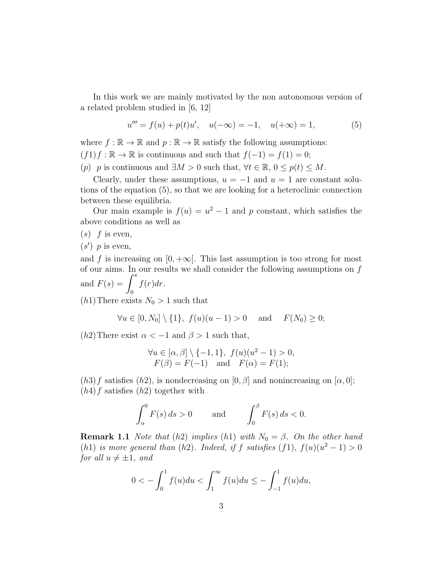In this work we are mainly motivated by the non autonomous version of a related problem studied in [6, 12]

$$
u''' = f(u) + p(t)u', \quad u(-\infty) = -1, \quad u(+\infty) = 1,
$$
 (5)

where  $f : \mathbb{R} \to \mathbb{R}$  and  $p : \mathbb{R} \to \mathbb{R}$  satisfy the following assumptions:

 $(f1)f : \mathbb{R} \to \mathbb{R}$  is continuous and such that  $f(-1) = f(1) = 0;$ 

(p) p is continuous and  $\exists M > 0$  such that,  $\forall t \in \mathbb{R}, 0 \leq p(t) \leq M$ .

Clearly, under these assumptions,  $u = -1$  and  $u = 1$  are constant solutions of the equation (5), so that we are looking for a heteroclinic connection between these equilibria.

Our main example is  $f(u) = u^2 - 1$  and p constant, which satisfies the above conditions as well as

 $(s)$  f is even,

 $(s')$  p is even,

and f is increasing on  $[0, +\infty]$ . This last assumption is too strong for most of our aims. In our results we shall consider the following assumptions on  $f$ and  $F(s) = \int^s$ 0  $f(r)dr$ .

 $(h1)$ There exists  $N_0 > 1$  such that

$$
\forall u \in [0, N_0] \setminus \{1\}, \ f(u)(u-1) > 0 \quad \text{and} \quad F(N_0) \ge 0;
$$

(h2) There exist  $\alpha < -1$  and  $\beta > 1$  such that,

$$
\forall u \in [\alpha, \beta] \setminus \{-1, 1\}, f(u)(u^2 - 1) > 0,F(\beta) = F(-1) \text{ and } F(\alpha) = F(1);
$$

 $(h3)$ f satisfies  $(h2)$ , is nondecreasing on  $[0, \beta]$  and nonincreasing on  $[\alpha, 0]$ ;  $(h4)$ f satisfies  $(h2)$  together with

$$
\int_{\alpha}^{0} F(s) ds > 0 \quad \text{and} \quad \int_{0}^{\beta} F(s) ds < 0.
$$

**Remark 1.1** Note that (h2) implies (h1) with  $N_0 = \beta$ . On the other hand (h1) is more general than (h2). Indeed, if f satisfies (f1),  $f(u)(u^2 - 1) > 0$ for all  $u \neq \pm 1$ , and

$$
0 < -\int_0^1 f(u)du < \int_1^\infty f(u)du \le -\int_{-1}^1 f(u)du,
$$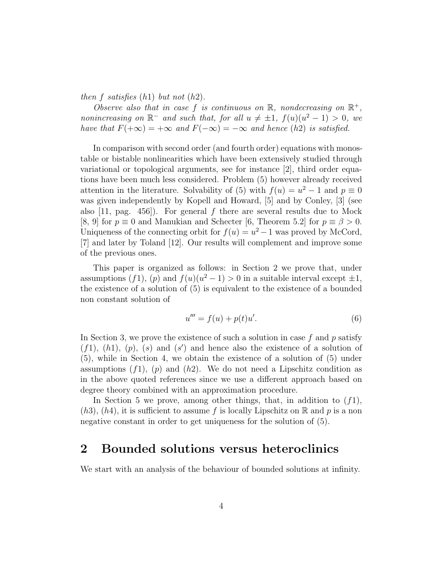then f satisfies  $(h1)$  but not  $(h2)$ .

Observe also that in case f is continuous on  $\mathbb{R}$ , nondecreasing on  $\mathbb{R}^+$ , nonincreasing on  $\mathbb{R}^-$  and such that, for all  $u \neq \pm 1$ ,  $f(u)(u^2 - 1) > 0$ , we have that  $F(+\infty) = +\infty$  and  $F(-\infty) = -\infty$  and hence (h2) is satisfied.

In comparison with second order (and fourth order) equations with monostable or bistable nonlinearities which have been extensively studied through variational or topological arguments, see for instance [2], third order equations have been much less considered. Problem (5) however already received attention in the literature. Solvability of (5) with  $f(u) = u^2 - 1$  and  $p \equiv 0$ was given independently by Kopell and Howard, [5] and by Conley, [3] (see also  $[11, \text{ pag. } 456]$ . For general f there are several results due to Mock [8, 9] for  $p \equiv 0$  and Manukian and Schecter [6, Theorem 5.2] for  $p \equiv \beta > 0$ . Uniqueness of the connecting orbit for  $f(u) = u^2 - 1$  was proved by McCord, [7] and later by Toland [12]. Our results will complement and improve some of the previous ones.

This paper is organized as follows: in Section 2 we prove that, under assumptions (f1), (p) and  $f(u)(u^2 - 1) > 0$  in a suitable interval except  $\pm 1$ , the existence of a solution of (5) is equivalent to the existence of a bounded non constant solution of

$$
u''' = f(u) + p(t)u'. \t\t(6)
$$

In Section 3, we prove the existence of such a solution in case  $f$  and  $p$  satisfy  $(f1)$ ,  $(h1)$ ,  $(p)$ ,  $(s)$  and  $(s')$  and hence also the existence of a solution of (5), while in Section 4, we obtain the existence of a solution of (5) under assumptions  $(f1)$ ,  $(p)$  and  $(h2)$ . We do not need a Lipschitz condition as in the above quoted references since we use a different approach based on degree theory combined with an approximation procedure.

In Section 5 we prove, among other things, that, in addition to  $(f1)$ ,  $(h3), (h4),$  it is sufficient to assume f is locally Lipschitz on R and p is a non negative constant in order to get uniqueness for the solution of (5).

## 2 Bounded solutions versus heteroclinics

We start with an analysis of the behaviour of bounded solutions at infinity.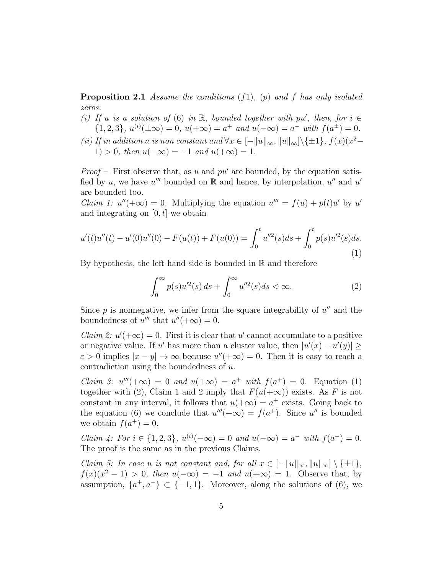**Proposition 2.1** Assume the conditions  $(f1)$ ,  $(p)$  and f has only isolated zeros.

- (i) If u is a solution of (6) in  $\mathbb R$ , bounded together with pu', then, for  $i \in$  $\{1,2,3\}, u^{(i)}(\pm \infty) = 0, u(\pm \infty) = a^+ \text{ and } u(-\infty) = a^- \text{ with } f(a^{\pm}) = 0.$
- (ii) If in addition u is non constant and  $\forall x \in [-||u||_{\infty}, ||u||_{\infty}] \setminus {\pm 1}, f(x)(x^2 -$ 1) > 0, then  $u(-\infty) = -1$  and  $u(+\infty) = 1$ .

*Proof* – First observe that, as u and  $pu'$  are bounded, by the equation satisfied by u, we have u''' bounded on  $\mathbb R$  and hence, by interpolation, u'' and u' are bounded too.

*Claim 1:*  $u''(+\infty) = 0$ . Multiplying the equation  $u''' = f(u) + p(t)u'$  by u' and integrating on  $[0, t]$  we obtain

$$
u'(t)u''(t) - u'(0)u''(0) - F(u(t)) + F(u(0)) = \int_0^t u''^2(s)ds + \int_0^t p(s)u'^2(s)ds.
$$
\n(1)

By hypothesis, the left hand side is bounded in  $\mathbb R$  and therefore

$$
\int_0^\infty p(s)u'^2(s) ds + \int_0^\infty u''^2(s) ds < \infty.
$$
 (2)

Since  $p$  is nonnegative, we infer from the square integrability of  $u''$  and the boundedness of u''' that  $u''(+\infty) = 0$ .

*Claim 2:*  $u'(+\infty) = 0$ . First it is clear that u' cannot accumulate to a positive or negative value. If u' has more than a cluster value, then  $|u'(x) - u'(y)| \ge$  $\varepsilon > 0$  implies  $|x - y| \to \infty$  because  $u''(+\infty) = 0$ . Then it is easy to reach a contradiction using the boundedness of u.

Claim 3:  $u'''(+\infty) = 0$  and  $u(+\infty) = a^+$  with  $f(a^+) = 0$ . Equation (1) together with (2), Claim 1 and 2 imply that  $F(u(+\infty))$  exists. As F is not constant in any interval, it follows that  $u(+\infty) = a^+$  exists. Going back to the equation (6) we conclude that  $u'''(+\infty) = f(a^+)$ . Since  $u''$  is bounded we obtain  $f(a^+) = 0$ .

Claim 4: For  $i \in \{1, 2, 3\}$ ,  $u^{(i)}(-\infty) = 0$  and  $u(-\infty) = a^{-}$  with  $f(a^{-}) = 0$ . The proof is the same as in the previous Claims.

Claim 5: In case u is not constant and, for all  $x \in [-||u||_{\infty}, ||u||_{\infty}] \setminus \{\pm 1\},\$  $f(x)(x^2-1) > 0$ , then  $u(-\infty) = -1$  and  $u(+\infty) = 1$ . Observe that, by assumption,  $\{a^+, a^-\} \subset \{-1, 1\}$ . Moreover, along the solutions of (6), we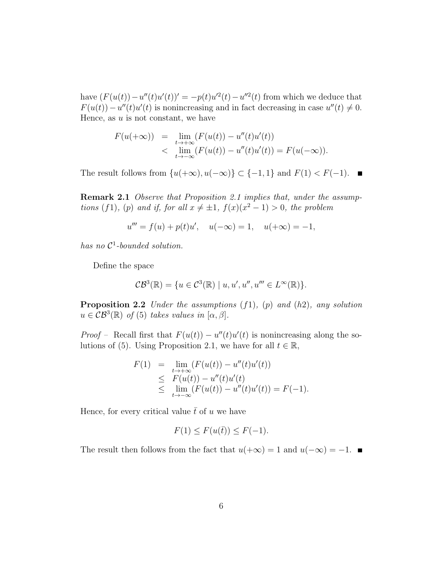have  $(F(u(t)) - u''(t)u'(t))' = -p(t)u'^2(t) - u''^2(t)$  from which we deduce that  $F(u(t)) - u''(t)u'(t)$  is nonincreasing and in fact decreasing in case  $u''(t) \neq 0$ . Hence, as  $u$  is not constant, we have

$$
F(u(+\infty)) = \lim_{\substack{t \to +\infty \\ t \to -\infty}} (F(u(t)) - u''(t)u'(t))
$$
  
< 
$$
\lim_{t \to -\infty} (F(u(t)) - u''(t)u'(t)) = F(u(-\infty)).
$$

The result follows from  $\{u(+\infty), u(-\infty)\}\subset \{-1,1\}$  and  $F(1) < F(-1)$ .

Remark 2.1 Observe that Proposition 2.1 implies that, under the assumptions (f1), (p) and if, for all  $x \neq \pm 1$ ,  $f(x)(x^2 - 1) > 0$ , the problem

$$
u''' = f(u) + p(t)u', \quad u(-\infty) = 1, \quad u(+\infty) = -1,
$$

has no  $\mathcal{C}^1$ -bounded solution.

Define the space

$$
\mathcal{CB}^3(\mathbb{R}) = \{ u \in \mathcal{C}^3(\mathbb{R}) \mid u, u', u'', u''' \in L^\infty(\mathbb{R}) \}.
$$

**Proposition 2.2** Under the assumptions  $(f1)$ ,  $(p)$  and  $(h2)$ , any solution  $u \in \mathcal{CB}^3(\mathbb{R})$  of (5) takes values in  $[\alpha, \beta]$ .

*Proof* – Recall first that  $F(u(t)) - u''(t)u'(t)$  is nonincreasing along the solutions of (5). Using Proposition 2.1, we have for all  $t \in \mathbb{R}$ ,

$$
F(1) = \lim_{t \to +\infty} (F(u(t)) - u''(t)u'(t))
$$
  
\n
$$
\leq F(u(t)) - u''(t)u'(t)
$$
  
\n
$$
\leq \lim_{t \to -\infty} (F(u(t)) - u''(t)u'(t)) = F(-1).
$$

Hence, for every critical value  $\bar{t}$  of u we have

$$
F(1) \le F(u(\bar{t})) \le F(-1).
$$

The result then follows from the fact that  $u(+\infty) = 1$  and  $u(-\infty) = -1$ .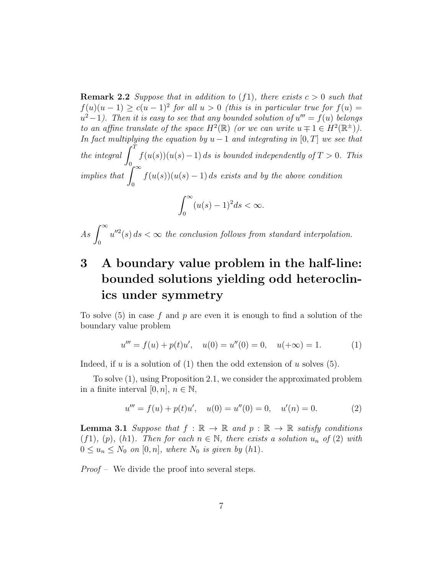**Remark 2.2** Suppose that in addition to  $(f_1)$ , there exists  $c > 0$  such that  $f(u)(u-1) \ge c(u-1)^2$  for all  $u > 0$  (this is in particular true for  $f(u) =$  $u^2-1$ ). Then it is easy to see that any bounded solution of  $u''' = f(u)$  belongs to an affine translate of the space  $H^2(\mathbb{R})$  (or we can write  $u \mp 1 \in H^2(\mathbb{R}^{\pm})$ ). In fact multiplying the equation by  $u - 1$  and integrating in [0, T] we see that the integral  $\int_0^T$ 0  $f(u(s))(u(s)-1)$  ds is bounded independently of  $T > 0$ . This implies that  $\int_{-\infty}^{\infty}$ 0  $f(u(s))(u(s)-1)$  ds exists and by the above condition

$$
\int_0^\infty (u(s)-1)^2 ds < \infty.
$$

 $As \int_{-\infty}^{\infty}$ 0  $u''^2(s)$  ds  $\lt \infty$  the conclusion follows from standard interpolation.

## 3 A boundary value problem in the half-line: bounded solutions yielding odd heteroclinics under symmetry

To solve  $(5)$  in case f and p are even it is enough to find a solution of the boundary value problem

$$
u''' = f(u) + p(t)u', \quad u(0) = u''(0) = 0, \quad u(+\infty) = 1.
$$
 (1)

Indeed, if u is a solution of (1) then the odd extension of u solves  $(5)$ .

To solve (1), using Proposition 2.1, we consider the approximated problem in a finite interval [0, n],  $n \in \mathbb{N}$ ,

$$
u''' = f(u) + p(t)u', \quad u(0) = u''(0) = 0, \quad u'(n) = 0.
$$
 (2)

**Lemma 3.1** Suppose that  $f : \mathbb{R} \to \mathbb{R}$  and  $p : \mathbb{R} \to \mathbb{R}$  satisfy conditions (f1), (p), (h1). Then for each  $n \in \mathbb{N}$ , there exists a solution  $u_n$  of (2) with  $0 \le u_n \le N_0$  on  $[0, n]$ , where  $N_0$  is given by  $(h1)$ .

Proof – We divide the proof into several steps.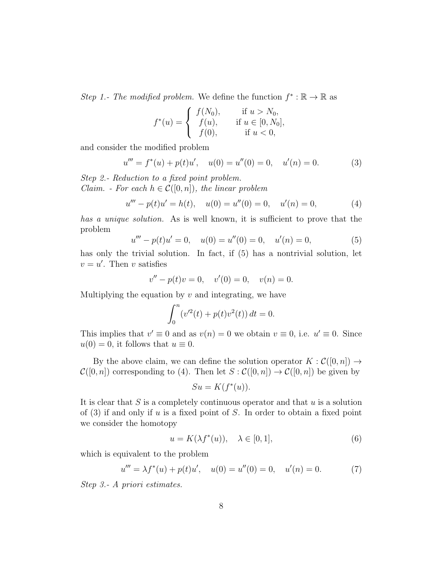Step 1.- The modified problem. We define the function  $f^* : \mathbb{R} \to \mathbb{R}$  as

$$
f^*(u) = \begin{cases} f(N_0), & \text{if } u > N_0, \\ f(u), & \text{if } u \in [0, N_0], \\ f(0), & \text{if } u < 0, \end{cases}
$$

and consider the modified problem

$$
u''' = f^*(u) + p(t)u', \quad u(0) = u''(0) = 0, \quad u'(n) = 0.
$$
 (3)

Step 2.- Reduction to a fixed point problem. *Claim.* - For each  $h \in \mathcal{C}([0,n])$ , the linear problem

$$
u''' - p(t)u' = h(t), \quad u(0) = u''(0) = 0, \quad u'(n) = 0,
$$
 (4)

has a unique solution. As is well known, it is sufficient to prove that the problem

$$
u''' - p(t)u' = 0, \quad u(0) = u''(0) = 0, \quad u'(n) = 0,
$$
\n(5)

has only the trivial solution. In fact, if  $(5)$  has a nontrivial solution, let  $v = u'$ . Then v satisfies

$$
v'' - p(t)v = 0, \quad v'(0) = 0, \quad v(n) = 0.
$$

Multiplying the equation by  $v$  and integrating, we have

$$
\int_0^n (v'^2(t) + p(t)v^2(t)) dt = 0.
$$

This implies that  $v' \equiv 0$  and as  $v(n) = 0$  we obtain  $v \equiv 0$ , i.e.  $u' \equiv 0$ . Since  $u(0) = 0$ , it follows that  $u \equiv 0$ .

By the above claim, we can define the solution operator  $K : \mathcal{C}([0,n]) \to$  $\mathcal{C}([0,n])$  corresponding to (4). Then let  $S : \mathcal{C}([0,n]) \to \mathcal{C}([0,n])$  be given by

$$
Su = K(f^*(u)).
$$

It is clear that  $S$  is a completely continuous operator and that  $u$  is a solution of  $(3)$  if and only if u is a fixed point of S. In order to obtain a fixed point we consider the homotopy

$$
u = K(\lambda f^*(u)), \quad \lambda \in [0, 1], \tag{6}
$$

which is equivalent to the problem

$$
u''' = \lambda f^*(u) + p(t)u', \quad u(0) = u''(0) = 0, \quad u'(n) = 0. \tag{7}
$$

Step 3.- A priori estimates.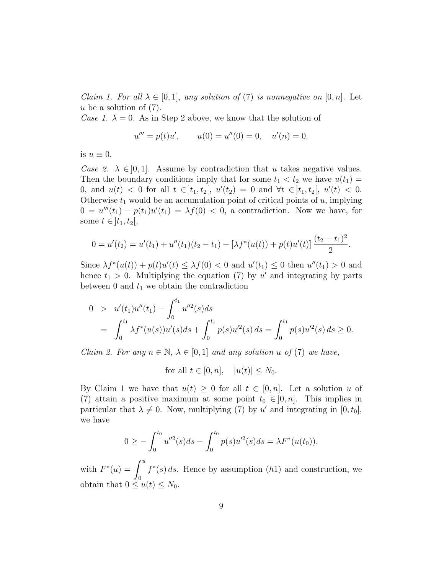*Claim 1. For all*  $\lambda \in [0,1]$ , any solution of (7) is nonnegative on  $[0,n]$ . Let  $u$  be a solution of  $(7)$ .

Case 1.  $\lambda = 0$ . As in Step 2 above, we know that the solution of

$$
u''' = p(t)u',
$$
  $u(0) = u''(0) = 0,$   $u'(n) = 0.$ 

is  $u \equiv 0$ .

Case 2.  $\lambda \in ]0,1]$ . Assume by contradiction that u takes negative values. Then the boundary conditions imply that for some  $t_1 < t_2$  we have  $u(t_1) =$ 0, and  $u(t) < 0$  for all  $t \in ]t_1, t_2[, u'(t_2) = 0$  and  $\forall t \in ]t_1, t_2[, u'(t) < 0.$ Otherwise  $t_1$  would be an accumulation point of critical points of  $u$ , implying  $0 = u'''(t_1) - p(t_1)u'(t_1) = \lambda f(0) < 0$ , a contradiction. Now we have, for some  $t \in ]t_1, t_2[,$ 

$$
0 = u'(t_2) = u'(t_1) + u''(t_1)(t_2 - t_1) + [\lambda f^*(u(t)) + p(t)u'(t)] \frac{(t_2 - t_1)^2}{2}.
$$

Since  $\lambda f^*(u(t)) + p(t)u'(t) \leq \lambda f(0) < 0$  and  $u'(t_1) \leq 0$  then  $u''(t_1) > 0$  and hence  $t_1 > 0$ . Multiplying the equation (7) by u' and integrating by parts between  $0$  and  $t_1$  we obtain the contradiction

$$
0 > u'(t_1)u''(t_1) - \int_0^{t_1} u''^2(s)ds
$$
  
= 
$$
\int_0^{t_1} \lambda f^*(u(s))u'(s)ds + \int_0^{t_1} p(s)u'^2(s) ds = \int_0^{t_1} p(s)u'^2(s) ds \ge 0.
$$

*Claim 2. For any*  $n \in \mathbb{N}$ ,  $\lambda \in [0, 1]$  and any solution u of (7) we have,

for all  $t \in [0, n]$ ,  $|u(t)| \leq N_0$ .

By Claim 1 we have that  $u(t) \geq 0$  for all  $t \in [0, n]$ . Let a solution u of (7) attain a positive maximum at some point  $t_0 \in ]0, n]$ . This implies in particular that  $\lambda \neq 0$ . Now, multiplying (7) by u' and integrating in [0, t<sub>0</sub>], we have

$$
0 \geq -\int_0^{t_0} u''^2(s)ds - \int_0^{t_0} p(s)u'^2(s)ds = \lambda F^*(u(t_0)),
$$

with  $F^*(u) = \int^u$ 0  $f^*(s)$  ds. Hence by assumption  $(h1)$  and construction, we obtain that  $0 \le u(t) \le N_0$ .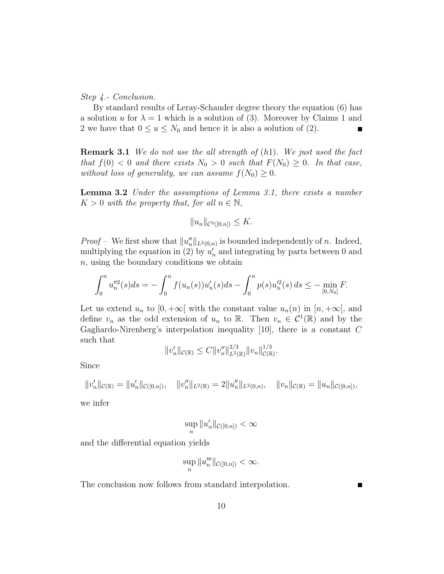Step 4.- Conclusion.

By standard results of Leray-Schauder degree theory the equation (6) has a solution u for  $\lambda = 1$  which is a solution of (3). Moreover by Claims 1 and 2 we have that  $0 \le u \le N_0$  and hence it is also a solution of (2).

**Remark 3.1** We do not use the all strength of  $(h1)$ . We just used the fact that  $f(0) < 0$  and there exists  $N_0 > 0$  such that  $F(N_0) \geq 0$ . In that case, without loss of generality, we can assume  $f(N_0) \geq 0$ .

**Lemma 3.2** Under the assumptions of Lemma 3.1, there exists a number  $K > 0$  with the property that, for all  $n \in \mathbb{N}$ ,

$$
||u_n||_{\mathcal{C}^3([0,n])} \leq K.
$$

*Proof* – We first show that  $||u_n''||_{L^2(0,n)}$  is bounded independently of n. Indeed, multiplying the equation in (2) by  $u'_n$  and integrating by parts between 0 and n, using the boundary conditions we obtain

$$
\int_0^n u_n''^2(s)ds = -\int_0^n f(u_n(s))u_n'(s)ds - \int_0^n p(s)u_n'^2(s)ds \le -\min_{[0,N_0]} F.
$$

Let us extend  $u_n$  to  $[0, +\infty]$  with the constant value  $u_n(n)$  in  $[n, +\infty]$ , and define  $v_n$  as the odd extension of  $u_n$  to R. Then  $v_n \in C^1(\mathbb{R})$  and by the Gagliardo-Nirenberg's interpolation inequality  $[10]$ , there is a constant C such that

$$
||v_n'||_{\mathcal{C}(\mathbb{R})} \leq C ||v_n''||_{L^2(\mathbb{R})}^{2/3} ||v_n||_{\mathcal{C}(\mathbb{R})}^{1/3}.
$$

Since

$$
||v'_n||_{\mathcal{C}(\mathbb{R})} = ||u'_n||_{\mathcal{C}([0,n])}, \quad ||v''_n||_{L^2(\mathbb{R})} = 2||u''_n||_{L^2(0,n)}, \quad ||v_n||_{\mathcal{C}(\mathbb{R})} = ||u_n||_{\mathcal{C}([0,n])},
$$

we infer

$$
\sup_n \|u_n'\|_{\mathcal C([0,n])}<\infty
$$

and the differential equation yields

$$
\sup_n \|u_n''' \|_{\mathcal{C}([0,n])} < \infty.
$$

The conclusion now follows from standard interpolation.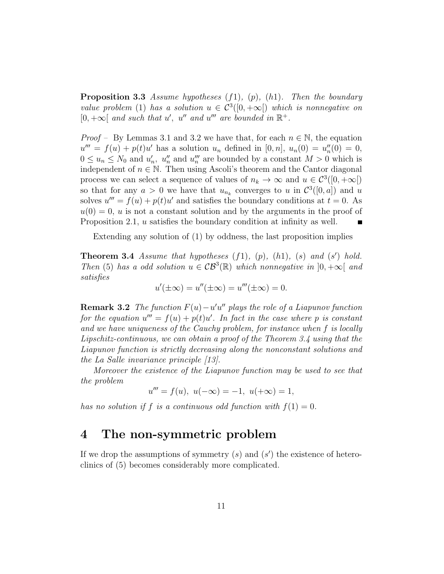**Proposition 3.3** Assume hypotheses  $(f1)$ ,  $(p)$ ,  $(h1)$ . Then the boundary value problem (1) has a solution  $u \in C^3([0, +\infty[)$  which is nonnegative on  $[0, +\infty[$  and such that u', u'' and u''' are bounded in  $\mathbb{R}^+$ .

*Proof –* By Lemmas 3.1 and 3.2 we have that, for each  $n \in \mathbb{N}$ , the equation  $u''' = f(u) + p(t)u'$  has a solution  $u_n$  defined in [0, n],  $u_n(0) = u''_n(0) = 0$ ,  $0 \le u_n \le N_0$  and  $u'_n$ ,  $u''_n$  and  $u'''_n$  are bounded by a constant  $M > 0$  which is independent of  $n \in \mathbb{N}$ . Then using Ascoli's theorem and the Cantor diagonal process we can select a sequence of values of  $n_k \to \infty$  and  $u \in C^3([0, +\infty[)$ so that for any  $a > 0$  we have that  $u_{n_k}$  converges to u in  $\mathcal{C}^3([0, a])$  and u solves  $u''' = f(u) + p(t)u'$  and satisfies the boundary conditions at  $t = 0$ . As  $u(0) = 0$ , u is not a constant solution and by the arguments in the proof of Proposition 2.1, u satisfies the boundary condition at infinity as well.

Extending any solution of (1) by oddness, the last proposition implies

**Theorem 3.4** Assume that hypotheses  $(f1)$ ,  $(p)$ ,  $(h1)$ ,  $(s)$  and  $(s')$  hold. Then (5) has a odd solution  $u \in \mathcal{CB}^3(\mathbb{R})$  which nonnegative in  $]0, +\infty[$  and satisfies

$$
u'(\pm \infty) = u''(\pm \infty) = u'''(\pm \infty) = 0.
$$

**Remark 3.2** The function  $F(u) - u'u''$  plays the role of a Liapunov function for the equation  $u''' = f(u) + p(t)u'$ . In fact in the case where p is constant and we have uniqueness of the Cauchy problem, for instance when f is locally Lipschitz-continuous, we can obtain a proof of the Theorem 3.4 using that the Liapunov function is strictly decreasing along the nonconstant solutions and the La Salle invariance principle [13].

Moreover the existence of the Liapunov function may be used to see that the problem

$$
u''' = f(u), \ u(-\infty) = -1, \ u(+\infty) = 1,
$$

has no solution if f is a continuous odd function with  $f(1) = 0$ .

## 4 The non-symmetric problem

If we drop the assumptions of symmetry  $(s)$  and  $(s')$  the existence of heteroclinics of (5) becomes considerably more complicated.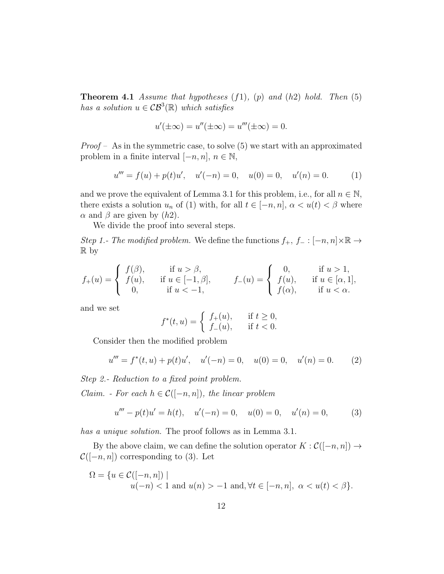**Theorem 4.1** Assume that hypotheses  $(f1)$ ,  $(p)$  and  $(h2)$  hold. Then  $(5)$ has a solution  $u \in \mathcal{CB}^3(\mathbb{R})$  which satisfies

$$
u'(\pm \infty) = u''(\pm \infty) = u'''(\pm \infty) = 0.
$$

*Proof* – As in the symmetric case, to solve  $(5)$  we start with an approximated problem in a finite interval  $[-n, n], n \in \mathbb{N}$ ,

$$
u''' = f(u) + p(t)u', \quad u'(-n) = 0, \quad u(0) = 0, \quad u'(n) = 0.
$$
 (1)

and we prove the equivalent of Lemma 3.1 for this problem, i.e., for all  $n \in \mathbb{N}$ , there exists a solution  $u_n$  of (1) with, for all  $t \in [-n, n]$ ,  $\alpha < u(t) < \beta$  where  $\alpha$  and  $\beta$  are given by  $(h2)$ .

We divide the proof into several steps.

Step 1.- The modified problem. We define the functions  $f_+, f_- : [-n, n] \times \mathbb{R} \to$ R by

$$
f_{+}(u) = \begin{cases} f(\beta), & \text{if } u > \beta, \\ f(u), & \text{if } u \in [-1, \beta], \\ 0, & \text{if } u < -1, \end{cases} \qquad f_{-}(u) = \begin{cases} 0, & \text{if } u > 1, \\ f(u), & \text{if } u \in [\alpha, 1], \\ f(\alpha), & \text{if } u < \alpha. \end{cases}
$$

and we set

$$
f^*(t, u) = \begin{cases} f_+(u), & \text{if } t \ge 0, \\ f_-(u), & \text{if } t < 0. \end{cases}
$$

Consider then the modified problem

$$
u''' = f^*(t, u) + p(t)u', \quad u'(-n) = 0, \quad u(0) = 0, \quad u'(n) = 0.
$$
 (2)

Step 2.- Reduction to a fixed point problem.

*Claim.* - For each  $h \in \mathcal{C}([-n, n])$ , the linear problem

$$
u''' - p(t)u' = h(t), \quad u'(-n) = 0, \quad u(0) = 0, \quad u'(n) = 0,
$$
 (3)

has a unique solution. The proof follows as in Lemma 3.1.

By the above claim, we can define the solution operator  $K : \mathcal{C}([-n, n]) \to$  $\mathcal{C}([-n, n])$  corresponding to (3). Let

$$
\Omega = \{ u \in C([-n, n]) \mid u(-n) < 1 \text{ and } u(n) > -1 \text{ and, } \forall t \in [-n, n], \ \alpha < u(t) < \beta \}.
$$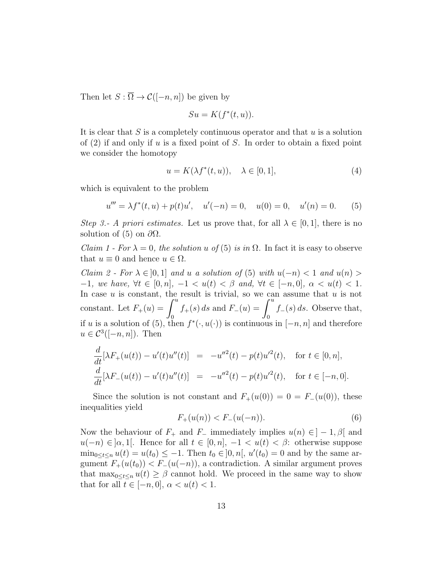Then let  $S : \overline{\Omega} \to \mathcal{C}([-n, n])$  be given by

$$
Su = K(f^*(t, u)).
$$

It is clear that  $S$  is a completely continuous operator and that  $u$  is a solution of  $(2)$  if and only if u is a fixed point of S. In order to obtain a fixed point we consider the homotopy

$$
u = K(\lambda f^*(t, u)), \quad \lambda \in [0, 1], \tag{4}
$$

which is equivalent to the problem

$$
u''' = \lambda f^*(t, u) + p(t)u', \quad u'(-n) = 0, \quad u(0) = 0, \quad u'(n) = 0.
$$
 (5)

Step 3.- A priori estimates. Let us prove that, for all  $\lambda \in [0,1]$ , there is no solution of (5) on  $\partial\Omega$ .

Claim 1 - For  $\lambda = 0$ , the solution u of (5) is in  $\Omega$ . In fact it is easy to observe that  $u \equiv 0$  and hence  $u \in \Omega$ .

Claim 2 - For  $\lambda \in [0,1]$  and u a solution of (5) with  $u(-n) < 1$  and  $u(n) >$ −1, we have,  $\forall t \in [0, n], -1 < u(t) < \beta$  and,  $\forall t \in [-n, 0], \alpha < u(t) < 1$ . In case  $u$  is constant, the result is trivial, so we can assume that  $u$  is not constant. Let  $F_+(u) = \int^u$  $\boldsymbol{0}$  $f_{+}(s) ds$  and  $F_{-}(u) = \int^{u}$  $\mathbf{0}$  $f_-(s) ds$ . Observe that, if u is a solution of (5), then  $f^*(\cdot, u(\cdot))$  is continuous in  $[-n, n]$  and therefore  $u \in \mathcal{C}^3([-n,n])$ . Then

$$
\frac{d}{dt}[\lambda F_+(u(t)) - u'(t)u''(t)] = -u''^2(t) - p(t)u'^2(t), \text{ for } t \in [0, n],
$$
  

$$
\frac{d}{dt}[\lambda F_-(u(t)) - u'(t)u''(t)] = -u''^2(t) - p(t)u'^2(t), \text{ for } t \in [-n, 0].
$$

Since the solution is not constant and  $F_+(u(0)) = 0 = F_-(u(0))$ , these inequalities yield

$$
F_{+}(u(n)) < F_{-}(u(-n)).\tag{6}
$$

Now the behaviour of  $F_+$  and  $F_-\$  immediately implies  $u(n) \in ]-1, \beta[$  and  $u(-n) \in [\alpha,1]$ . Hence for all  $t \in [0,n]$ ,  $-1 < u(t) < \beta$ : otherwise suppose  $\min_{0 \le t \le n} u(t) = u(t_0) \le -1$ . Then  $t_0 \in ]0, n[, u'(t_0) = 0$  and by the same argument  $F_+(u(t_0)) < F_-(u(-n))$ , a contradiction. A similar argument proves that  $\max_{0 \leq t \leq n} u(t) \geq \beta$  cannot hold. We proceed in the same way to show that for all  $t \in [-n, 0], \alpha < u(t) < 1.$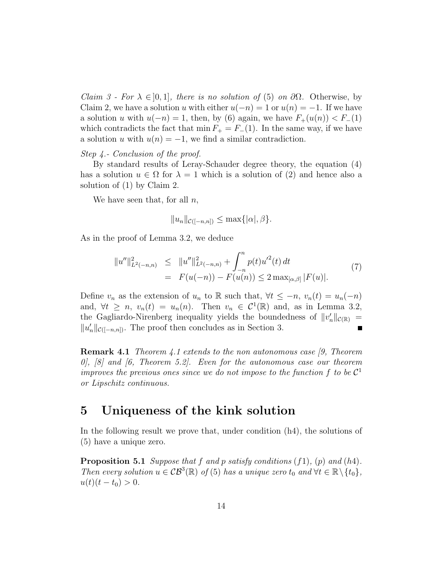Claim 3 - For  $\lambda \in [0,1]$ , there is no solution of (5) on  $\partial \Omega$ . Otherwise, by Claim 2, we have a solution u with either  $u(-n) = 1$  or  $u(n) = -1$ . If we have a solution u with  $u(-n) = 1$ , then, by (6) again, we have  $F_+(u(n)) < F_-(1)$ which contradicts the fact that min  $F_+ = F_-(1)$ . In the same way, if we have a solution u with  $u(n) = -1$ , we find a similar contradiction.

### Step 4.- Conclusion of the proof.

By standard results of Leray-Schauder degree theory, the equation (4) has a solution  $u \in \Omega$  for  $\lambda = 1$  which is a solution of (2) and hence also a solution of (1) by Claim 2.

We have seen that, for all  $n$ ,

$$
||u_n||_{\mathcal{C}([-n,n])} \leq \max\{|\alpha|, \beta\}.
$$

As in the proof of Lemma 3.2, we deduce

$$
||u''||_{L^{2}(-n,n)}^{2} \leq ||u''||_{L^{2}(-n,n)}^{2} + \int_{-n}^{n} p(t)u'^{2}(t) dt
$$
  
=  $F(u(-n)) - F(u(n)) \leq 2 \max_{[\alpha,\beta]} |F(u)|.$  (7)

Define  $v_n$  as the extension of  $u_n$  to R such that,  $\forall t \leq -n$ ,  $v_n(t) = u_n(-n)$ and,  $\forall t \geq n$ ,  $v_n(t) = u_n(n)$ . Then  $v_n \in C^1(\mathbb{R})$  and, as in Lemma 3.2, the Gagliardo-Nirenberg inequality yields the boundedness of  $||v_n'||_{\mathcal{C}(\mathbb{R})} =$  $||u'_n||_{\mathcal{C}([-n,n])}$ . The proof then concludes as in Section 3.

Remark 4.1 Theorem 4.1 extends to the non autonomous case [9, Theorem  $0, 8$  and  $6,$  Theorem 5.2. Even for the autonomous case our theorem improves the previous ones since we do not impose to the function  $f$  to be  $\mathcal{C}^1$ or Lipschitz continuous.

### 5 Uniqueness of the kink solution

In the following result we prove that, under condition (h4), the solutions of (5) have a unique zero.

**Proposition 5.1** Suppose that f and p satisfy conditions  $(f1)$ ,  $(p)$  and  $(h4)$ . Then every solution  $u \in \mathcal{CB}^3(\mathbb{R})$  of (5) has a unique zero  $t_0$  and  $\forall t \in \mathbb{R} \setminus \{t_0\}$ ,  $u(t)(t-t_0) > 0.$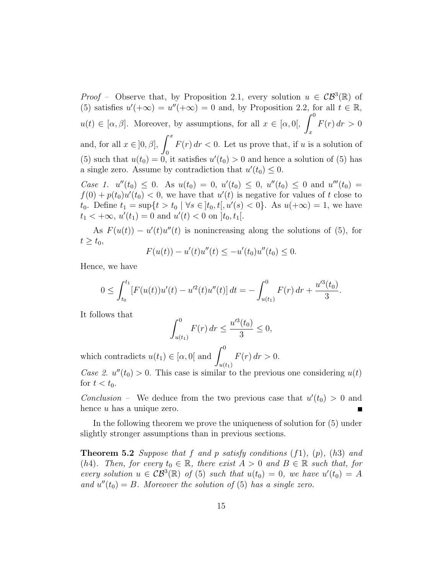*Proof* – Observe that, by Proposition 2.1, every solution  $u \in \mathcal{CB}^3(\mathbb{R})$  of (5) satisfies  $u'(+\infty) = u''(+\infty) = 0$  and, by Proposition 2.2, for all  $t \in \mathbb{R}$ ,  $u(t) \in [\alpha, \beta]$ . Moreover, by assumptions, for all  $x \in [\alpha, 0], \ \int^0$ x  $F(r) dr > 0$ and, for all  $x \in [0, \beta]$ ,  $\int^x$ 0  $F(r) dr < 0$ . Let us prove that, if u is a solution of (5) such that  $u(t_0) = 0$ , it satisfies  $u'(t_0) > 0$  and hence a solution of (5) has a single zero. Assume by contradiction that  $u'(t_0) \leq 0$ .

Case 1.  $u''(t_0) \leq 0$ . As  $u(t_0) = 0$ ,  $u'(t_0) \leq 0$ ,  $u''(t_0) \leq 0$  and  $u'''(t_0) = 0$  $f(0) + p(t_0)u'(t_0) < 0$ , we have that  $u'(t)$  is negative for values of t close to t<sub>0</sub>. Define  $t_1 = \sup\{t > t_0 \mid \forall s \in [t_0, t[, u'(s) < 0\}$ . As  $u(+\infty) = 1$ , we have  $t_1 < +\infty$ ,  $u'(t_1) = 0$  and  $u'(t) < 0$  on  $]t_0, t_1[$ .

As  $F(u(t)) - u'(t)u''(t)$  is nonincreasing along the solutions of (5), for  $t \geq t_0$ ,

$$
F(u(t)) - u'(t)u''(t) \le -u'(t_0)u''(t_0) \le 0.
$$

Hence, we have

$$
0 \leq \int_{t_0}^{t_1} \left[ F(u(t))u'(t) - u'^2(t)u''(t) \right] dt = - \int_{u(t_1)}^{0} F(r) dr + \frac{u'^3(t_0)}{3}.
$$

It follows that

$$
\int_{u(t_1)}^0 F(r) dr \le \frac{u'^3(t_0)}{3} \le 0,
$$

which contradicts  $u(t_1) \in [\alpha, 0]$  and  $\int^0$  $u(t_1)$  $F(r) dr > 0.$ 

Case 2.  $u''(t_0) > 0$ . This case is similar to the previous one considering  $u(t)$ for  $t < t_0$ .

Conclusion – We deduce from the two previous case that  $u'(t_0) > 0$  and hence u has a unique zero.

In the following theorem we prove the uniqueness of solution for (5) under slightly stronger assumptions than in previous sections.

**Theorem 5.2** Suppose that f and p satisfy conditions  $(f1)$ ,  $(p)$ ,  $(h3)$  and (h4). Then, for every  $t_0 \in \mathbb{R}$ , there exist  $A > 0$  and  $B \in \mathbb{R}$  such that, for every solution  $u \in \mathcal{CB}^3(\mathbb{R})$  of (5) such that  $u(t_0) = 0$ , we have  $u'(t_0) = A$ and  $u''(t_0) = B$ . Moreover the solution of (5) has a single zero.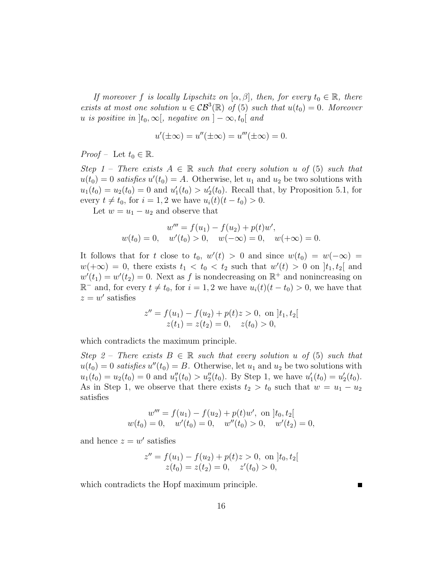If moreover f is locally Lipschitz on  $[\alpha, \beta]$ , then, for every  $t_0 \in \mathbb{R}$ , there exists at most one solution  $u \in \mathcal{CB}^3(\mathbb{R})$  of (5) such that  $u(t_0) = 0$ . Moreover u is positive in  $]t_0, \infty[$ , negative on  $] - \infty, t_0[$  and

$$
u'(\pm \infty) = u''(\pm \infty) = u'''(\pm \infty) = 0.
$$

*Proof* – Let  $t_0 \in \mathbb{R}$ .

Step 1 – There exists  $A \in \mathbb{R}$  such that every solution u of (5) such that  $u(t_0) = 0$  satisfies  $u'(t_0) = A$ . Otherwise, let  $u_1$  and  $u_2$  be two solutions with  $u_1(t_0) = u_2(t_0) = 0$  and  $u'_1(t_0) > u'_2(t_0)$ . Recall that, by Proposition 5.1, for every  $t \neq t_0$ , for  $i = 1, 2$  we have  $u_i(t)(t - t_0) > 0$ .

Let  $w = u_1 - u_2$  and observe that

$$
w''' = f(u_1) - f(u_2) + p(t)w',
$$
  
 
$$
w(t_0) = 0, \quad w'(t_0) > 0, \quad w(-\infty) = 0, \quad w(+\infty) = 0.
$$

It follows that for t close to  $t_0$ ,  $w'(t) > 0$  and since  $w(t_0) = w(-\infty) =$  $w(+\infty) = 0$ , there exists  $t_1 < t_0 < t_2$  such that  $w'(t) > 0$  on  $]t_1, t_2[$  and  $w'(t_1) = w'(t_2) = 0$ . Next as f is nondecreasing on  $\mathbb{R}^+$  and nonincreasing on  $\mathbb{R}^-$  and, for every  $t \neq t_0$ , for  $i = 1, 2$  we have  $u_i(t)(t - t_0) > 0$ , we have that  $z = w'$  satisfies

$$
z'' = f(u1) - f(u2) + p(t)z > 0, \text{ on } [t1, t2 [
$$
  
 
$$
z(t1) = z(t2) = 0, \quad z(t0) > 0,
$$

which contradicts the maximum principle.

Step 2 – There exists  $B \in \mathbb{R}$  such that every solution u of (5) such that  $u(t_0) = 0$  satisfies  $u''(t_0) = B$ . Otherwise, let  $u_1$  and  $u_2$  be two solutions with  $u_1(t_0) = u_2(t_0) = 0$  and  $u_1''(t_0) > u_2''(t_0)$ . By Step 1, we have  $u_1'(t_0) = u_2'(t_0)$ . As in Step 1, we observe that there exists  $t_2 > t_0$  such that  $w = u_1 - u_2$ satisfies

$$
w''' = f(u_1) - f(u_2) + p(t)w', \text{ on } [t_0, t_2[
$$
  

$$
w(t_0) = 0, \quad w'(t_0) = 0, \quad w''(t_0) > 0, \quad w'(t_2) = 0,
$$

and hence  $z = w'$  satisfies

$$
z'' = f(u_1) - f(u_2) + p(t)z > 0, \text{ on } [t_0, t_2[
$$
  

$$
z(t_0) = z(t_2) = 0, \quad z'(t_0) > 0,
$$

which contradicts the Hopf maximum principle.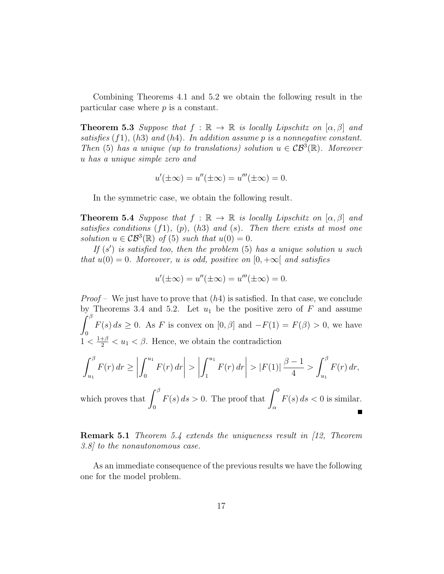Combining Theorems 4.1 and 5.2 we obtain the following result in the particular case where  $p$  is a constant.

**Theorem 5.3** Suppose that  $f : \mathbb{R} \to \mathbb{R}$  is locally Lipschitz on  $[\alpha, \beta]$  and satisfies  $(f1)$ ,  $(h3)$  and  $(h4)$ . In addition assume p is a nonnegative constant. Then (5) has a unique (up to translations) solution  $u \in \mathcal{CB}^3(\mathbb{R})$ . Moreover u has a unique simple zero and

$$
u'(\pm \infty) = u''(\pm \infty) = u'''(\pm \infty) = 0.
$$

In the symmetric case, we obtain the following result.

**Theorem 5.4** Suppose that  $f : \mathbb{R} \to \mathbb{R}$  is locally Lipschitz on  $[\alpha, \beta]$  and satisfies conditions  $(f1)$ ,  $(p)$ ,  $(h3)$  and  $(s)$ . Then there exists at most one solution  $u \in \mathcal{CB}^3(\mathbb{R})$  of (5) such that  $u(0) = 0$ .

If  $(s')$  is satisfied too, then the problem  $(5)$  has a unique solution u such that  $u(0) = 0$ . Moreover, u is odd, positive on  $[0, +\infty)$  and satisfies

$$
u'(\pm \infty) = u''(\pm \infty) = u'''(\pm \infty) = 0.
$$

*Proof* – We just have to prove that  $(h4)$  is satisfied. In that case, we conclude by Theorems 3.4 and 5.2. Let  $u_1$  be the positive zero of  $F$  and assume  $\int^\beta$ 0  $F(s) ds \geq 0$ . As F is convex on  $[0, \beta]$  and  $-F(1) = F(\beta) > 0$ , we have  $1 < \frac{1+\beta}{2} < u_1 < \beta$ . Hence, we obtain the contradiction

$$
\left| \int_{u_1}^{\beta} F(r) \, dr \ge \left| \int_0^{u_1} F(r) \, dr \right| > \left| \int_1^{u_1} F(r) \, dr \right| > \left| F(1) \right| \frac{\beta - 1}{4} > \int_{u_1}^{\beta} F(r) \, dr,
$$

which proves that  $\int^{\beta}$ 0  $F(s) ds > 0$ . The proof that  $\int^0$ α  $F(s) ds < 0$  is similar.

**Remark 5.1** Theorem 5.4 extends the uniqueness result in [12, Theorem] 3.8] to the nonautonomous case.

As an immediate consequence of the previous results we have the following one for the model problem.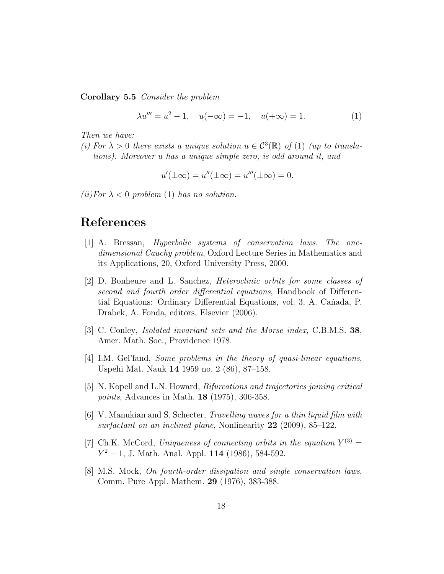Corollary 5.5 Consider the problem

$$
\lambda u''' = u^2 - 1, \quad u(-\infty) = -1, \quad u(+\infty) = 1. \tag{1}
$$

Then we have:

(i) For  $\lambda > 0$  there exists a unique solution  $u \in C^3(\mathbb{R})$  of (1) (up to translations). Moreover u has a unique simple zero, is odd around it, and

$$
u'(\pm \infty) = u''(\pm \infty) = u'''(\pm \infty) = 0.
$$

(*ii*)For  $\lambda < 0$  problem (1) has no solution.

## References

- [1] A. Bressan, Hyperbolic systems of conservation laws. The onedimensional Cauchy problem, Oxford Lecture Series in Mathematics and its Applications, 20, Oxford University Press, 2000.
- [2] D. Bonheure and L. Sanchez, Heteroclinic orbits for some classes of second and fourth order differential equations, Handbook of Differential Equations: Ordinary Differential Equations, vol. 3, A. Cañada, P. Drabek, A. Fonda, editors, Elsevier (2006).
- [3] C. Conley, Isolated invariant sets and the Morse index, C.B.M.S. 38, Amer. Math. Soc., Providence 1978.
- [4] I.M. Gel'fand, Some problems in the theory of quasi-linear equations, Uspehi Mat. Nauk 14 1959 no. 2 (86), 87–158.
- [5] N. Kopell and L.N. Howard, Bifurcations and trajectories joining critical points, Advances in Math. 18 (1975), 306-358.
- [6] V. Manukian and S. Schecter, Travelling waves for a thin liquid film with surfactant on an inclined plane, Nonlinearity 22 (2009), 85–122.
- [7] Ch.K. McCord, Uniqueness of connecting orbits in the equation  $Y^{(3)} =$  $Y^2 - 1$ , J. Math. Anal. Appl. 114 (1986), 584-592.
- [8] M.S. Mock, On fourth-order dissipation and single conservation laws, Comm. Pure Appl. Mathem. 29 (1976), 383-388.